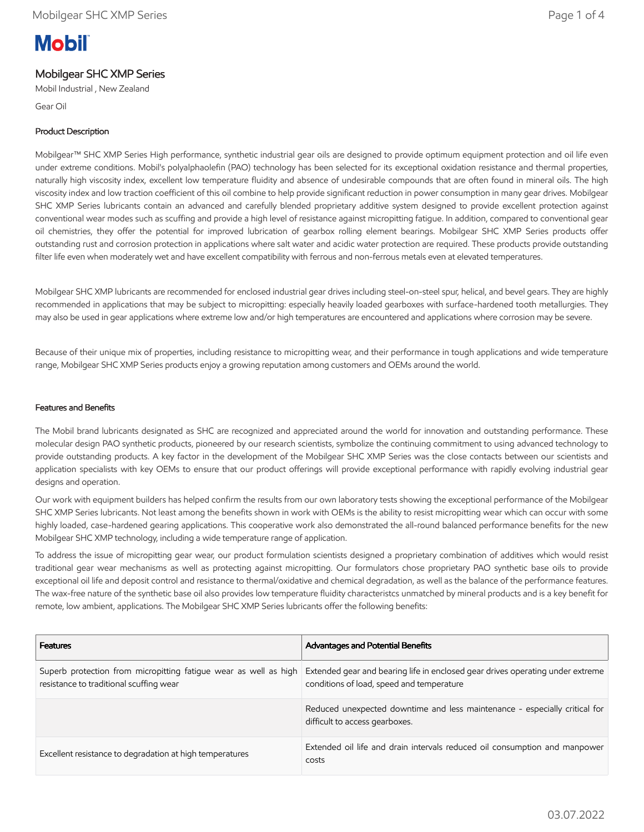# **Mobil**

## Mobilgear SHC XMP Series

Mobil Industrial , New Zealand

Gear Oil

### Product Description

Mobilgear™ SHC XMP Series High performance, synthetic industrial gear oils are designed to provide optimum equipment protection and oil life even under extreme conditions. Mobil's polyalphaolefin (PAO) technology has been selected for its exceptional oxidation resistance and thermal properties, naturally high viscosity index, excellent low temperature fluidity and absence of undesirable compounds that are often found in mineral oils. The high viscosity index and low traction coefficient of this oil combine to help provide significant reduction in power consumption in many gear drives. Mobilgear SHC XMP Series lubricants contain an advanced and carefully blended proprietary additive system designed to provide excellent protection against conventional wear modes such as scuffing and provide a high level of resistance against micropitting fatigue. In addition, compared to conventional gear oil chemistries, they offer the potential for improved lubrication of gearbox rolling element bearings. Mobilgear SHC XMP Series products offer outstanding rust and corrosion protection in applications where salt water and acidic water protection are required. These products provide outstanding filter life even when moderately wet and have excellent compatibility with ferrous and non-ferrous metals even at elevated temperatures.

Mobilgear SHC XMP lubricants are recommended for enclosed industrial gear drives including steel-on-steel spur, helical, and bevel gears. They are highly recommended in applications that may be subject to micropitting: especially heavily loaded gearboxes with surface-hardened tooth metallurgies. They may also be used in gear applications where extreme low and/or high temperatures are encountered and applications where corrosion may be severe.

Because of their unique mix of properties, including resistance to micropitting wear, and their performance in tough applications and wide temperature range, Mobilgear SHC XMP Series products enjoy a growing reputation among customers and OEMs around the world.

#### Features and Benefits

The Mobil brand lubricants designated as SHC are recognized and appreciated around the world for innovation and outstanding performance. These molecular design PAO synthetic products, pioneered by our research scientists, symbolize the continuing commitment to using advanced technology to provide outstanding products. A key factor in the development of the Mobilgear SHC XMP Series was the close contacts between our scientists and application specialists with key OEMs to ensure that our product offerings will provide exceptional performance with rapidly evolving industrial gear designs and operation.

Our work with equipment builders has helped confirm the results from our own laboratory tests showing the exceptional performance of the Mobilgear SHC XMP Series lubricants. Not least among the benefits shown in work with OEMs is the ability to resist micropitting wear which can occur with some highly loaded, case-hardened gearing applications. This cooperative work also demonstrated the all-round balanced performance benefits for the new Mobilgear SHC XMP technology, including a wide temperature range of application.

To address the issue of micropitting gear wear, our product formulation scientists designed a proprietary combination of additives which would resist traditional gear wear mechanisms as well as protecting against micropitting. Our formulators chose proprietary PAO synthetic base oils to provide exceptional oil life and deposit control and resistance to thermal/oxidative and chemical degradation, as well as the balance of the performance features. The wax-free nature of the synthetic base oil also provides low temperature fluidity characteristcs unmatched by mineral products and is a key benefit for remote, low ambient, applications. The Mobilgear SHC XMP Series lubricants offer the following benefits:

| <b>Features</b>                                                                                             | <b>Advantages and Potential Benefits</b>                                                                                    |
|-------------------------------------------------------------------------------------------------------------|-----------------------------------------------------------------------------------------------------------------------------|
| Superb protection from micropitting fatigue wear as well as high<br>resistance to traditional scuffing wear | Extended gear and bearing life in enclosed gear drives operating under extreme<br>conditions of load, speed and temperature |
|                                                                                                             | Reduced unexpected downtime and less maintenance - especially critical for<br>difficult to access gearboxes.                |
| Excellent resistance to degradation at high temperatures                                                    | Extended oil life and drain intervals reduced oil consumption and manpower<br>costs                                         |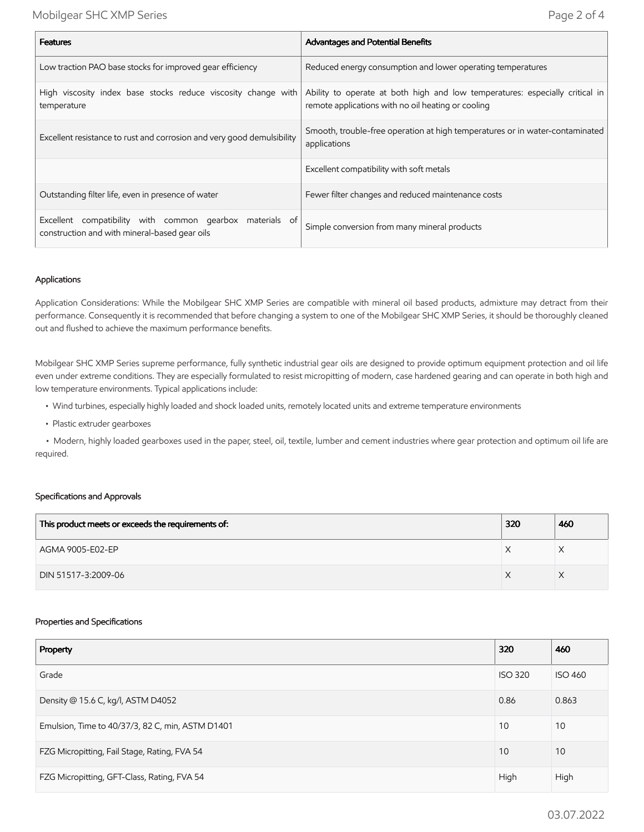| <b>Features</b>                                                                                           | <b>Advantages and Potential Benefits</b>                                                                                           |  |
|-----------------------------------------------------------------------------------------------------------|------------------------------------------------------------------------------------------------------------------------------------|--|
| Low traction PAO base stocks for improved gear efficiency                                                 | Reduced energy consumption and lower operating temperatures                                                                        |  |
| High viscosity index base stocks reduce viscosity change with<br>temperature                              | Ability to operate at both high and low temperatures: especially critical in<br>remote applications with no oil heating or cooling |  |
| Excellent resistance to rust and corrosion and very good demulsibility                                    | Smooth, trouble-free operation at high temperatures or in water-contaminated<br>applications                                       |  |
|                                                                                                           | Excellent compatibility with soft metals                                                                                           |  |
| Outstanding filter life, even in presence of water                                                        | Fewer filter changes and reduced maintenance costs                                                                                 |  |
| Excellent compatibility with common gearbox materials of<br>construction and with mineral-based gear oils | Simple conversion from many mineral products                                                                                       |  |

#### Applications

Application Considerations: While the Mobilgear SHC XMP Series are compatible with mineral oil based products, admixture may detract from their performance. Consequently it is recommended that before changing a system to one of the Mobilgear SHC XMP Series, it should be thoroughly cleaned out and flushed to achieve the maximum performance benefits.

Mobilgear SHC XMP Series supreme performance, fully synthetic industrial gear oils are designed to provide optimum equipment protection and oil life even under extreme conditions. They are especially formulated to resist micropitting of modern, case hardened gearing and can operate in both high and low temperature environments. Typical applications include:

- Wind turbines, especially highly loaded and shock loaded units, remotely located units and extreme temperature environments
- Plastic extruder gearboxes

 • Modern, highly loaded gearboxes used in the paper, steel, oil, textile, lumber and cement industries where gear protection and optimum oil life are required.

#### Specifications and Approvals

| This product meets or exceeds the requirements of: | 320 | 460 |
|----------------------------------------------------|-----|-----|
| AGMA 9005-E02-EP                                   |     |     |
| DIN 51517-3:2009-06                                |     |     |

#### Properties and Specifications

| Property                                         | 320            | 460            |
|--------------------------------------------------|----------------|----------------|
| Grade                                            | <b>ISO 320</b> | <b>ISO 460</b> |
| Density @ 15.6 C, kg/l, ASTM D4052               | 0.86           | 0.863          |
| Emulsion, Time to 40/37/3, 82 C, min, ASTM D1401 | 10             | 10             |
| FZG Micropitting, Fail Stage, Rating, FVA 54     | 10             | 10             |
| FZG Micropitting, GFT-Class, Rating, FVA 54      | High           | High           |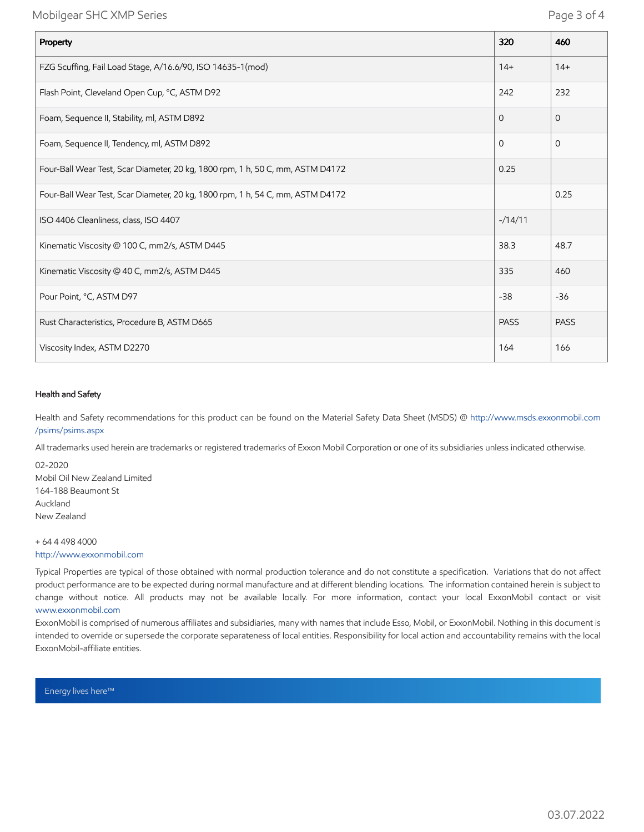Mobilgear SHC XMP Series **Page 3 of 4** 

| Property                                                                       | 320         | 460         |
|--------------------------------------------------------------------------------|-------------|-------------|
| FZG Scuffing, Fail Load Stage, A/16.6/90, ISO 14635-1(mod)                     | $14+$       | $14+$       |
| Flash Point, Cleveland Open Cup, °C, ASTM D92                                  | 242         | 232         |
| Foam, Sequence II, Stability, ml, ASTM D892                                    | $\mathbf 0$ | 0           |
| Foam, Sequence II, Tendency, ml, ASTM D892                                     | $\mathbf 0$ | 0           |
| Four-Ball Wear Test, Scar Diameter, 20 kg, 1800 rpm, 1 h, 50 C, mm, ASTM D4172 | 0.25        |             |
| Four-Ball Wear Test, Scar Diameter, 20 kg, 1800 rpm, 1 h, 54 C, mm, ASTM D4172 |             | 0.25        |
| ISO 4406 Cleanliness, class, ISO 4407                                          | $-14/11$    |             |
| Kinematic Viscosity @ 100 C, mm2/s, ASTM D445                                  | 38.3        | 48.7        |
| Kinematic Viscosity @ 40 C, mm2/s, ASTM D445                                   | 335         | 460         |
| Pour Point, °C, ASTM D97                                                       | $-38$       | $-36$       |
| Rust Characteristics, Procedure B, ASTM D665                                   | <b>PASS</b> | <b>PASS</b> |
| Viscosity Index, ASTM D2270                                                    | 164         | 166         |

#### Health and Safety

Health and Safety recommendations for this product can be found on the Material Safety Data Sheet (MSDS) @ [http://www.msds.exxonmobil.com](http://www.msds.exxonmobil.com/psims/psims.aspx) /psims/psims.aspx

All trademarks used herein are trademarks or registered trademarks of Exxon Mobil Corporation or one of its subsidiaries unless indicated otherwise.

02-2020 Mobil Oil New Zealand Limited 164-188 Beaumont St Auckland New Zealand

+ 64 4 498 4000 [http://www.exxonmobil.com](http://www.exxonmobil.com/)

Typical Properties are typical of those obtained with normal production tolerance and do not constitute a specification. Variations that do not affect product performance are to be expected during normal manufacture and at different blending locations. The information contained herein is subject to change without notice. All products may not be available locally. For more information, contact your local ExxonMobil contact or visit [www.exxonmobil.com](http://www.exxonmobil.com/)

ExxonMobil is comprised of numerous affiliates and subsidiaries, many with names that include Esso, Mobil, or ExxonMobil. Nothing in this document is intended to override or supersede the corporate separateness of local entities. Responsibility for local action and accountability remains with the local ExxonMobil-affiliate entities.

Energy lives here™